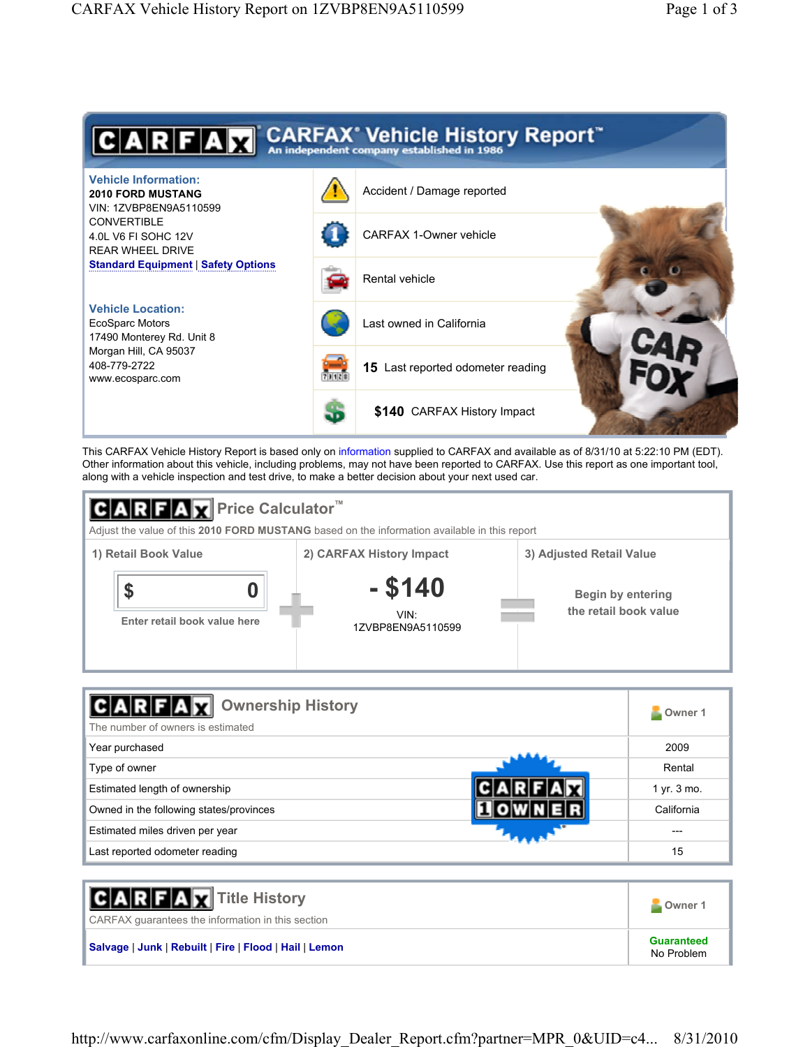

This CARFAX Vehicle History Report is based only on information supplied to CARFAX and available as of 8/31/10 at 5:22:10 PM (EDT). Other information about this vehicle, including problems, may not have been reported to CARFAX. Use this report as one important tool, along with a vehicle inspection and test drive, to make a better decision about your next used car.



| <b>Ownership History</b><br>The number of owners is estimated | Owner 1     |
|---------------------------------------------------------------|-------------|
| Year purchased                                                | 2009        |
| Type of owner                                                 | Rental      |
| Estimated length of ownership                                 | 1 yr. 3 mo. |
| Owned in the following states/provinces                       | California  |
| Estimated miles driven per year                               | $---$       |
| Last reported odometer reading                                | 15          |

| <b>CARFAX</b> Title History<br>CARFAX quarantees the information in this section | Owner 1                         |
|----------------------------------------------------------------------------------|---------------------------------|
| Salvage   Junk   Rebuilt   Fire   Flood   Hail   Lemon                           | <b>Guaranteed</b><br>No Problem |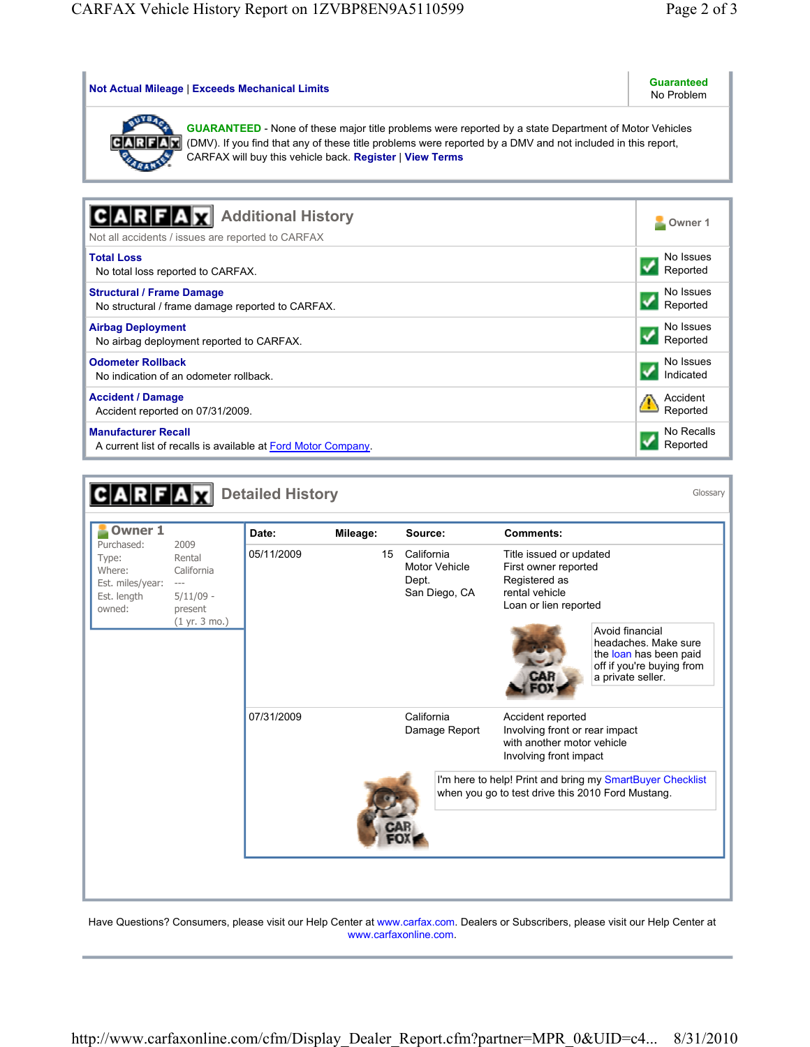| <b>Not Actual Mileage   Exceeds Mechanical Limits</b>                                                                                                                                                                                                                                   |            |  |  |  |
|-----------------------------------------------------------------------------------------------------------------------------------------------------------------------------------------------------------------------------------------------------------------------------------------|------------|--|--|--|
| <b>GUARANTEED</b> - None of these major title problems were reported by a state Department of Motor Vehicles<br>(DMV). If you find that any of these title problems were reported by a DMV and not included in this report,<br>CARFAX will buy this vehicle back. Register   View Terms |            |  |  |  |
|                                                                                                                                                                                                                                                                                         |            |  |  |  |
| <b>CARFAX</b> Additional History                                                                                                                                                                                                                                                        | Owner 1    |  |  |  |
| Not all accidents / issues are reported to CARFAX                                                                                                                                                                                                                                       |            |  |  |  |
| <b>Total Loss</b>                                                                                                                                                                                                                                                                       | No Issues  |  |  |  |
| No total loss reported to CARFAX.                                                                                                                                                                                                                                                       | Reported   |  |  |  |
| <b>Structural / Frame Damage</b>                                                                                                                                                                                                                                                        | No Issues  |  |  |  |
| No structural / frame damage reported to CARFAX.                                                                                                                                                                                                                                        | Reported   |  |  |  |
| <b>Airbag Deployment</b>                                                                                                                                                                                                                                                                | No Issues  |  |  |  |
| No airbag deployment reported to CARFAX.                                                                                                                                                                                                                                                | Reported   |  |  |  |
| <b>Odometer Rollback</b>                                                                                                                                                                                                                                                                | No Issues  |  |  |  |
| No indication of an odometer rollback                                                                                                                                                                                                                                                   | Indicated  |  |  |  |
| <b>Accident / Damage</b>                                                                                                                                                                                                                                                                | Accident   |  |  |  |
| Accident reported on 07/31/2009.                                                                                                                                                                                                                                                        | Reported   |  |  |  |
| <b>Manufacturer Recall</b>                                                                                                                                                                                                                                                              | No Recalls |  |  |  |
| A current list of recalls is available at Ford Motor Company.                                                                                                                                                                                                                           | Reported   |  |  |  |

| $C$ $A$ $R$ $F$ $A$ $R$                                                    |                                                                                             | <b>Detailed History</b> |          |                             |                                |                                                                                                             | Glossary                                                                                                            |
|----------------------------------------------------------------------------|---------------------------------------------------------------------------------------------|-------------------------|----------|-----------------------------|--------------------------------|-------------------------------------------------------------------------------------------------------------|---------------------------------------------------------------------------------------------------------------------|
| Owner 1                                                                    |                                                                                             | Date:                   | Mileage: | Source:                     |                                | <b>Comments:</b>                                                                                            |                                                                                                                     |
| Purchased:<br>Type:<br>Where:<br>Est. miles/year:<br>Est. length<br>owned: | 2009<br>Rental<br>California<br>$\cdots$<br>$5/11/09$ -<br>present<br>$(1 \, yr. 3 \, mo.)$ | 05/11/2009              | 15       | California<br>Dept.         | Motor Vehicle<br>San Diego, CA | Title issued or updated<br>First owner reported<br>Registered as<br>rental vehicle<br>Loan or lien reported | Avoid financial<br>headaches. Make sure<br>the loan has been paid<br>off if you're buying from<br>a private seller. |
|                                                                            |                                                                                             | 07/31/2009              |          | California<br>Damage Report |                                | Accident reported<br>Involving front or rear impact<br>with another motor vehicle<br>Involving front impact |                                                                                                                     |
|                                                                            |                                                                                             |                         |          |                             |                                | when you go to test drive this 2010 Ford Mustang.                                                           | I'm here to help! Print and bring my SmartBuyer Checklist                                                           |

Have Questions? Consumers, please visit our Help Center at www.carfax.com. Dealers or Subscribers, please visit our Help Center at www.carfaxonline.com.